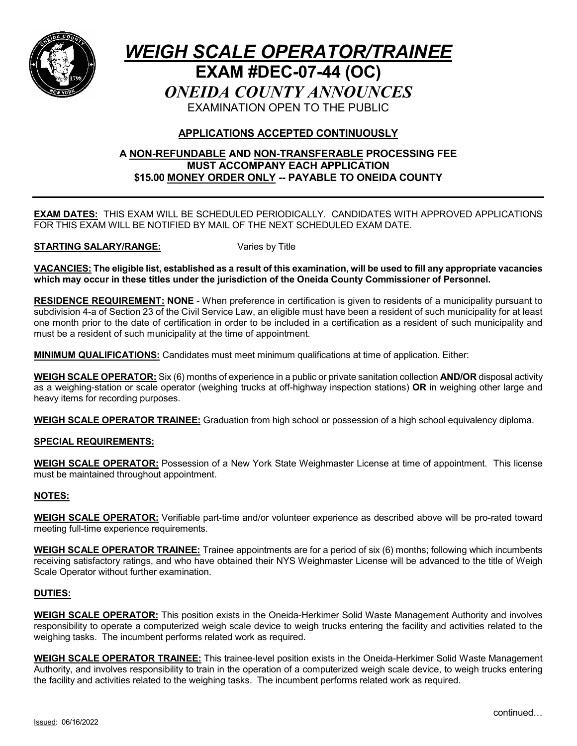

# *WEIGH SCALE OPERATOR/TRAINEE* **EXAM #DEC-07-44 (OC)** *ONEIDA COUNTY ANNOUNCES* EXAMINATION OPEN TO THE PUBLIC

## **APPLICATIONS ACCEPTED CONTINUOUSLY**

## **A NON-REFUNDABLE AND NON-TRANSFERABLE PROCESSING FEE MUST ACCOMPANY EACH APPLICATION \$15.00 MONEY ORDER ONLY -- PAYABLE TO ONEIDA COUNTY**

**EXAM DATES:** THIS EXAM WILL BE SCHEDULED PERIODICALLY. CANDIDATES WITH APPROVED APPLICATIONS FOR THIS EXAM WILL BE NOTIFIED BY MAIL OF THE NEXT SCHEDULED EXAM DATE.

#### **STARTING SALARY/RANGE:** Varies by Title

**VACANCIES: The eligible list, established as a result of this examination, will be used to fill any appropriate vacancies which may occur in these titles under the jurisdiction of the Oneida County Commissioner of Personnel.**

**RESIDENCE REQUIREMENT: NONE** - When preference in certification is given to residents of a municipality pursuant to subdivision 4-a of Section 23 of the Civil Service Law, an eligible must have been a resident of such municipality for at least one month prior to the date of certification in order to be included in a certification as a resident of such municipality and must be a resident of such municipality at the time of appointment.

**MINIMUM QUALIFICATIONS:** Candidates must meet minimum qualifications at time of application. Either:

**WEIGH SCALE OPERATOR:** Six (6) months of experience in a public or private sanitation collection **AND/OR** disposal activity as a weighing-station or scale operator (weighing trucks at off-highway inspection stations) **OR** in weighing other large and heavy items for recording purposes.

**WEIGH SCALE OPERATOR TRAINEE:** Graduation from high school or possession of a high school equivalency diploma.

## **SPECIAL REQUIREMENTS:**

**WEIGH SCALE OPERATOR:** Possession of a New York State Weighmaster License at time of appointment. This license must be maintained throughout appointment.

## **NOTES:**

**WEIGH SCALE OPERATOR:** Verifiable part-time and/or volunteer experience as described above will be pro-rated toward meeting full-time experience requirements.

**WEIGH SCALE OPERATOR TRAINEE:** Trainee appointments are for a period of six (6) months; following which incumbents receiving satisfactory ratings, and who have obtained their NYS Weighmaster License will be advanced to the title of Weigh Scale Operator without further examination.

## **DUTIES:**

**WEIGH SCALE OPERATOR:** This position exists in the Oneida-Herkimer Solid Waste Management Authority and involves responsibility to operate a computerized weigh scale device to weigh trucks entering the facility and activities related to the weighing tasks. The incumbent performs related work as required.

**WEIGH SCALE OPERATOR TRAINEE:** This trainee-level position exists in the Oneida-Herkimer Solid Waste Management Authority, and involves responsibility to train in the operation of a computerized weigh scale device, to weigh trucks entering the facility and activities related to the weighing tasks. The incumbent performs related work as required.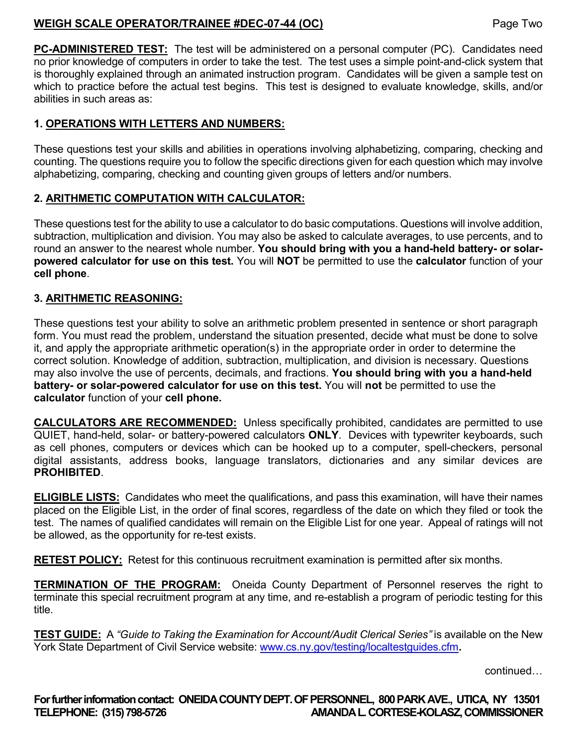## **WEIGH SCALE OPERATOR/TRAINEE #DEC-07-44 (OC)** Page Two

**PC-ADMINISTERED TEST:** The test will be administered on a personal computer (PC). Candidates need no prior knowledge of computers in order to take the test. The test uses a simple point-and-click system that is thoroughly explained through an animated instruction program. Candidates will be given a sample test on which to practice before the actual test begins. This test is designed to evaluate knowledge, skills, and/or abilities in such areas as:

## **1. OPERATIONS WITH LETTERS AND NUMBERS:**

These questions test your skills and abilities in operations involving alphabetizing, comparing, checking and counting. The questions require you to follow the specific directions given for each question which may involve alphabetizing, comparing, checking and counting given groups of letters and/or numbers.

## **2. ARITHMETIC COMPUTATION WITH CALCULATOR:**

These questions test for the ability to use a calculator to do basic computations. Questions will involve addition, subtraction, multiplication and division. You may also be asked to calculate averages, to use percents, and to round an answer to the nearest whole number. **You should bring with you a hand-held battery- or solarpowered calculator for use on this test.** You will **NOT** be permitted to use the **calculator** function of your **cell phone**.

## **3. ARITHMETIC REASONING:**

These questions test your ability to solve an arithmetic problem presented in sentence or short paragraph form. You must read the problem, understand the situation presented, decide what must be done to solve it, and apply the appropriate arithmetic operation(s) in the appropriate order in order to determine the correct solution. Knowledge of addition, subtraction, multiplication, and division is necessary. Questions may also involve the use of percents, decimals, and fractions. **You should bring with you a hand-held battery- or solar-powered calculator for use on this test.** You will **not** be permitted to use the **calculator** function of your **cell phone.** 

**CALCULATORS ARE RECOMMENDED:** Unless specifically prohibited, candidates are permitted to use QUIET, hand-held, solar- or battery-powered calculators **ONLY**. Devices with typewriter keyboards, such as cell phones, computers or devices which can be hooked up to a computer, spell-checkers, personal digital assistants, address books, language translators, dictionaries and any similar devices are **PROHIBITED**.

**ELIGIBLE LISTS:** Candidates who meet the qualifications, and pass this examination, will have their names placed on the Eligible List, in the order of final scores, regardless of the date on which they filed or took the test. The names of qualified candidates will remain on the Eligible List for one year. Appeal of ratings will not be allowed, as the opportunity for re-test exists.

**RETEST POLICY:** Retest for this continuous recruitment examination is permitted after six months.

**TERMINATION OF THE PROGRAM:** Oneida County Department of Personnel reserves the right to terminate this special recruitment program at any time, and re-establish a program of periodic testing for this title.

**TEST GUIDE:** A *"Guide to Taking the Examination for Account/Audit Clerical Series"* is available on the New York State Department of Civil Service website: [www.cs.ny.gov/testing/localtestguides.cfm](http://www.cs.ny.gov/testing/localtestguides.cfm).

continued…